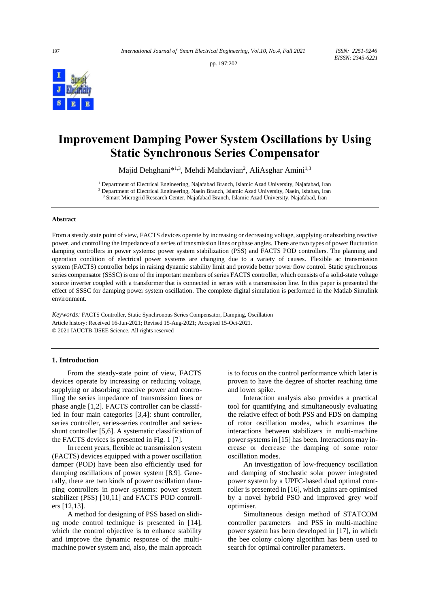pp. 197:202



# **Improvement Damping Power System Oscillations by Using Static Synchronous Series Compensator**

Majid Dehghani\*<sup>1,3</sup>, Mehdi Mahdavian<sup>2</sup>, AliAsghar Amini<sup>1,3</sup>

<sup>1</sup> Department of Electrical Engineering, Najafabad Branch, Islamic Azad University, Najafabad, Iran <sup>2</sup> Department of Electrical Engineering, Naein Branch, Islamic Azad University, Naein, Isfahan, Iran <sup>3</sup> Smart Microgrid Research Center, Najafabad Branch, Islamic Azad University, Najafabad, Iran

#### **Abstract**

From a steady state point of view, FACTS devices operate by increasing or decreasing voltage, supplying or absorbing reactive power, and controlling the impedance of a series of transmission lines or phase angles. There are two types of power fluctuation damping controllers in power systems: power system stabilization (PSS) and FACTS POD controllers. The planning and operation condition of electrical power systems are changing due to a variety of causes. Flexible ac transmission system (FACTS) controller helps in raising dynamic stability limit and provide better power flow control. Static synchronous series compensator (SSSC) is one of the important members of series FACTS controller, which consists of a solid-state [voltage](https://en.wikipedia.org/wiki/Voltage_source_inverter)  [source inverter](https://en.wikipedia.org/wiki/Voltage_source_inverter) coupled with a [transformer](https://en.wikipedia.org/wiki/Transformer) that is connected in series with a [transmission line.](https://en.wikipedia.org/wiki/Transmission_line) In this paper is presented the effect of SSSC for damping power system oscillation. The complete digital simulation is performed in the Matlab Simulink environment.

*Keywords:* FACTS Controller, Static Synchronous Series Compensator, Damping, Oscillation Article history: Received 16-Jun-2021; Revised 15-Aug-2021; Accepted 15-Oct-2021. © 2021 IAUCTB-IJSEE Science. All rights reserved

## **1. Introduction**

From the steady-state point of view, FACTS devices operate by increasing or reducing voltage, supplying or absorbing reactive power and controlling the series impedance of transmission lines or phase angle [1,2]. FACTS controller can be classified in four main categories [3,4]: shunt controller, series controller, series-series controller and seriesshunt controller [5,6]. A systematic classification of the FACTS devices is presented in Fig. 1 [7].

In recent years, flexible ac transmission system (FACTS) devices equipped with a power oscillation damper (POD) have been also efficiently used for damping oscillations of power system [8,9]. Generally, there are two kinds of power oscillation damping controllers in power systems: power system stabilizer (PSS) [10,11] and FACTS POD controllers [12,13].

A method for designing of PSS based on sliding mode control technique is presented in [14], which the control objective is to enhance stability and improve the dynamic response of the multimachine power system and, also, the main approach is to focus on the control performance which later is proven to have the degree of shorter reaching time and lower spike.

Interaction analysis also provides a practical tool for quantifying and simultaneously evaluating the relative effect of both PSS and FDS on damping of rotor oscillation modes, which examines the interactions between stabilizers in multi-machine power systems in [15] has been. Interactions may increase or decrease the damping of some rotor oscillation modes.

An investigation of low-frequency oscillation and damping of stochastic solar power integrated power system by a UPFC-based dual optimal controller is presented in [16], which gains are optimised by a novel hybrid PSO and improved grey wolf optimiser.

Simultaneous design method of STATCOM controller parameters and PSS in multi-machine power system has been developed in [17], in which the bee colony colony algorithm has been used to search for optimal controller parameters.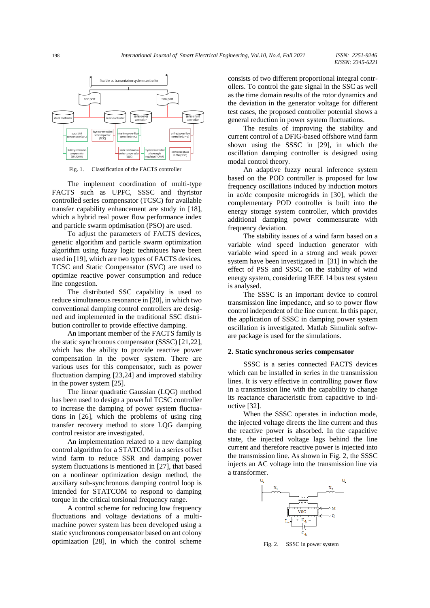

Fig. 1. Classification of the FACTS controller

The implement coordination of multi-type FACTS such as UPFC, SSSC and thyristor controlled series compensator (TCSC) for available transfer capability enhancement are study in [18], which a hybrid real power flow performance index and particle swarm optimisation (PSO) are used.

To adjust the parameters of FACTS devices, genetic algorithm and particle swarm optimization algorithm using fuzzy logic techniques have been used in [19], which are two types of FACTS devices. TCSC and Static Compensator (SVC) are used to optimize reactive power consumption and reduce line congestion.

The distributed SSC capability is used to reduce simultaneous resonance in [20], in which two conventional damping control controllers are designed and implemented in the traditional SSC distribution controller to provide effective damping.

An important member of the FACTS family is the static synchronous compensator (SSSC) [21,22], which has the ability to provide reactive power compensation in the power system. There are various uses for this compensator, such as power fluctuation damping [23,24] and improved stability in the power system [25].

The linear quadratic Gaussian (LQG) method has been used to design a powerful TCSC controller to increase the damping of power system fluctuations in [26], which the problems of using ring transfer recovery method to store LQG damping control resistor are investigated.

An implementation related to a new damping control algorithm for a STATCOM in a series offset wind farm to reduce SSR and damping power system fluctuations is mentioned in [27], that based on a nonlinear optimization design method, the auxiliary sub-synchronous damping control loop is intended for STATCOM to respond to damping torque in the critical torsional frequency range.

A control scheme for reducing low frequency fluctuations and voltage deviations of a multimachine power system has been developed using a static synchronous compensator based on ant colony optimization [28], in which the control scheme consists of two different proportional integral controllers. To control the gate signal in the SSC as well as the time domain results of the rotor dynamics and the deviation in the generator voltage for different test cases, the proposed controller potential shows a general reduction in power system fluctuations.

The results of improving the stability and current control of a DFIG-based offshore wind farm shown using the SSSC in [29], in which the oscillation damping controller is designed using modal control theory.

An adaptive fuzzy neural inference system based on the POD controller is proposed for low frequency oscillations induced by induction motors in ac/dc composite microgrids in [30], which the complementary POD controller is built into the energy storage system controller, which provides additional damping power commensurate with frequency deviation.

The stability issues of a wind farm based on a variable wind speed induction generator with variable wind speed in a strong and weak power system have been investigated in [31] in which the effect of PSS and SSSC on the stability of wind energy system, considering IEEE 14 bus test system is analysed.

The SSSC is an important device to control transmission line impedance, and so to power flow control independent of the line current. In this paper, the application of SSSC in damping power system oscillation is investigated. Matlab Simulink software package is used for the simulations.

## **2. Static synchronous series compensator**

SSSC is a series connected FACTS devices which can be installed in series in the transmission lines. It is very effective in controlling power flow in a transmission line with the capability to change its reactance characteristic from capacitive to inductive [32].

When the SSSC operates in induction mode, the injected voltage directs the line current and thus the reactive power is absorbed. In the capacitive state, the injected voltage lags behind the line current and therefore reactive power is injected into the transmission line. As shown in Fig. 2, the SSSC injects an AC voltage into the transmission line via a transformer.

U,



Fig. 2. SSSC in power system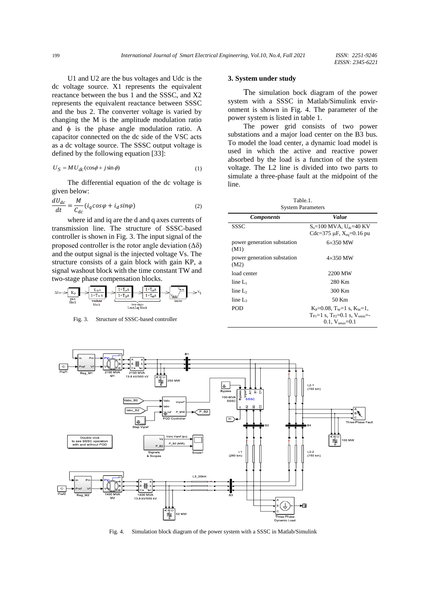U1 and U2 are the bus voltages and Udc is the dc voltage source. X1 represents the equivalent reactance between the bus 1 and the SSSC, and X2 represents the equivalent reactance between SSSC and the bus 2. The converter voltage is varied by changing the M is the amplitude modulation ratio and  $\phi$  is the phase angle modulation ratio. A capacitor connected on the dc side of the VSC acts as a dc voltage source. The SSSC output voltage is defined by the following equation [33]:

$$
U_S = MU_{dc}(\cos\phi + j\sin\phi) \tag{1}
$$

The differential equation of the dc voltage is given below:

$$
\frac{dU_{dc}}{dt} = \frac{M}{C_{dc}}(i_q \cos\varphi + i_d \sin\varphi)
$$
 (2)

where id and iq are the d and q axes currents of transmission line. The structure of SSSC-based controller is shown in Fig. 3. The input signal of the proposed controller is the rotor angle deviation  $(\Delta \delta)$ and the output signal is the injected voltage Vs. The structure consists of a gain block with gain KP, a signal washout block with the time constant TW and two-stage phase compensation blocks.

$$
\Delta \delta \circ \Longrightarrow \underbrace{\overline{K_{\mathfrak{p}}}}_{\substack{gain \\ block}} \Longrightarrow \underbrace{\overline{\frac{K_{\mathfrak{w}} s}{1+T_w s}}_{\substack{\text{wabhot} \\ block}} \Longrightarrow \underbrace{\overline{\frac{1+T_{\mathfrak{p}} s}{1+T_{\mathfrak{p}} s}}_{\substack{\text{two-stage} \\ \text{lead-lag block}} \Longrightarrow \overline{\frac{V_{\text{win}}}{V_{\text{limit}}}}_{\substack{\text{limit} \\ limit}} \Longrightarrow V_3}
$$

Fig. 3. Structure of SSSC-based controller

### **3. System under study**

The simulation bock diagram of the power system with a SSSC in Matlab/Simulink environment is shown in Fig. 4. The parameter of the power system is listed in table 1.

The power grid consists of two power substations and a major load center on the B3 bus. To model the load center, a dynamic load model is used in which the active and reactive power absorbed by the load is a function of the system voltage. The L2 line is divided into two parts to simulate a three-phase fault at the midpoint of the line.

Table.1. System Parameter

| o yətvin 1 aranıcıcı ə              |                                                                                                                          |
|-------------------------------------|--------------------------------------------------------------------------------------------------------------------------|
| <b>Components</b>                   | Value                                                                                                                    |
| SSSC                                | $S_n = 100$ MVA, $U_{dc} = 40$ KV<br>Cdc=375 $\mu$ F, X <sub>eq</sub> =0.16 pu                                           |
| power generation substation<br>(M1) | $6\times350$ MW                                                                                                          |
| power generation substation<br>(M2) | $4\times350$ MW                                                                                                          |
| load center                         | 2200 MW                                                                                                                  |
| $\text{line } L_1$                  | 280 Km                                                                                                                   |
| line $L_2$                          | 300 Km                                                                                                                   |
| $\text{line } L_3$                  | 50 Km                                                                                                                    |
| POD                                 | $K_P = 0.08$ , T <sub>w</sub> =1 s, $K_W = 1$ ,<br>$T_{Pl}=1$ s. $T_{P2}=0.1$ s. $V_{smin}=$<br>$0.1. V_{\rm max} = 0.1$ |



Fig. 4. Simulation block diagram of the power system with a SSSC in Matlab/Simulink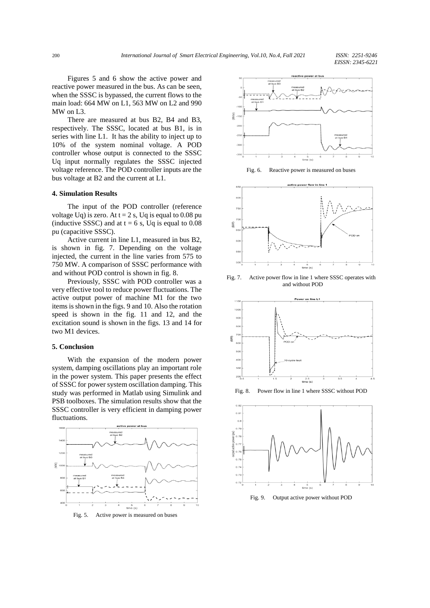Figures 5 and 6 show the active power and reactive power measured in the bus. As can be seen, when the SSSC is bypassed, the current flows to the main load: 664 MW on L1, 563 MW on L2 and 990 MW on L3.

There are measured at bus B2, B4 and B3, respectively. The SSSC, located at bus B1, is in series with line L1. It has the ability to inject up to 10% of the system nominal voltage. A POD controller whose output is connected to the SSSC Uq input normally regulates the SSSC injected voltage reference. The POD controller inputs are the bus voltage at B2 and the current at L1.

## **4. Simulation Results**

The input of the POD controller (reference voltage Uq) is zero. At  $t = 2$  s, Uq is equal to 0.08 pu (inductive SSSC) and at  $t = 6$  s, Uq is equal to 0.08 pu (capacitive SSSC).

Active current in line L1, measured in bus B2, is shown in fig. 7. Depending on the voltage injected, the current in the line varies from 575 to 750 MW. A comparison of SSSC performance with and without POD control is shown in fig. 8.

Previously, SSSC with POD controller was a very effective tool to reduce power fluctuations. The active output power of machine M1 for the two items is shown in the figs. 9 and 10. Also the rotation speed is shown in the fig. 11 and 12, and the excitation sound is shown in the figs. 13 and 14 for two M1 devices.

# **5. Conclusion**

With the expansion of the modern power system, damping oscillations play an important role in the power system. This paper presents the effect of SSSC for power system oscillation damping. This study was performed in Matlab using Simulink and PSB toolboxes. The simulation results show that the SSSC controller is very efficient in damping power fluctuations.



Fig. 5. Active power is measured on buses



Fig. 6. Reactive power is measured on buses



Fig. 7. Active power flow in line 1 where SSSC operates with and without POD



Fig. 8. Power flow in line 1 where SSSC without POD



Fig. 9. Output active power without POD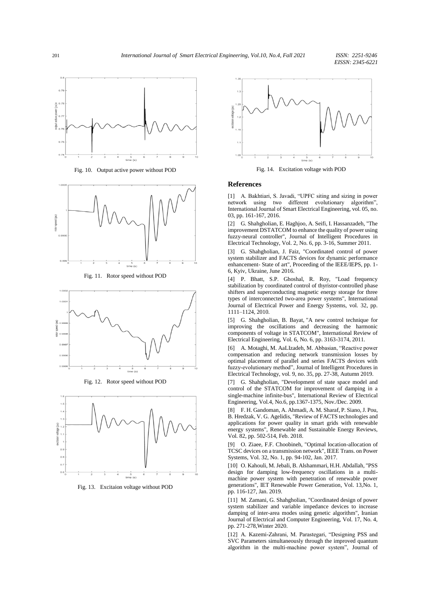*EISSN: 2345-6221*



Fig. 10. Output active power without POD



Fig. 11. Rotor speed without POD



Fig. 12. Rotor speed without POD



Fig. 13. Excitaion voltage without POD



Fig. 14. Excitation voltage with POD

#### **References**

[1] A. Bakhtiari, S. Javadi, "UPFC siting and sizing in power network using two different evolutionary algorithm", International Journal of Smart Electrical Engineering, vol. 05, no. 03, pp. 161-167, 2016.

[2] G. Shahgholian, E. Haghjoo, A. Seifi, I. Hassanzadeh, "The improvement DSTATCOM to enhance the quality of power using fuzzy-neural controller", Journal of Intelligent Procedures in Electrical Technology, Vol. 2, No. 6, pp. 3-16, Summer 2011.

[3] G. Shahgholian, J. Faiz, "Coordinated control of power system stabilizer and FACTS devices for dynamic performance enhancement- State of art", Proceeding of the IEEE/IEPS, pp. 1- 6, Kyiv, Ukraine, June 2016.

[4] P. Bhatt, S.P. Ghoshal, R. Roy, "Load frequency stabilization by coordinated control of thyristor-controlled phase shifters and superconducting magnetic energy storage for three types of interconnected two-area power systems", International Journal of Electrical Power and Energy Systems, vol. 32, pp. 1111–1124, 2010.

[5] G. Shahgholian, B. Bayat, "A new control technique for improving the oscillations and decreasing the harmonic components of voltage in STATCOM", International Review of Electrical Engineering, Vol. 6, No. 6, pp. 3163-3174, 2011.

[6] A. Motaghi, M. AaLIzadeh, M. Abbasian, "Reactive power compensation and reducing network transmission losses by optimal placement of parallel and series FACTS devices with fuzzy-evolutionary method", Journal of Intelligent Procedures in Electrical Technology, vol. 9, no. 35, pp. 27-38, Autumn 2019.

[7] G. Shahgholian, "Development of state space model and control of the STATCOM for improvement of damping in a single-machine infinite-bus", International Review of Electrical Engineering, Vol.4, No.6, pp.1367-1375, Nov./Dec. 2009.

[8] [F. H. Gandoman, A. Ahmadi, A. M. Sharaf, P. Siano, J. Pou,](https://www.sciencedirect.com/science/article/pii/S1364032117313151#!)  [B. Hredzak, V. G. Agelidis,](https://www.sciencedirect.com/science/article/pii/S1364032117313151#!) "Review of FACTS technologies and applications for power quality in smart grids with renewable energy systems", [Renewable and Sustainable Energy Reviews,](https://www.sciencedirect.com/science/journal/13640321)  [Vol. 82, p](https://www.sciencedirect.com/science/journal/13640321/82/part/P1)p. 502-514, Feb. 2018.

[9] [O. Ziaee,](http://ieeexplore.ieee.org/search/searchresult.jsp?searchWithin=%22Authors%22:.QT.Omid%20Ziaee.QT.&newsearch=true) [F.F. Choobineh,](http://ieeexplore.ieee.org/search/searchresult.jsp?searchWithin=%22Authors%22:.QT.F.%20Fred%20Choobineh.QT.&newsearch=true) "Optimal location-allocation of TCSC devices on a transmission network", IEEE Trans. on Power Systems, Vol. 32, No. 1, pp. 94-102, Jan. 2017.

[10] O. Kahouli, M. Jebali, B. Alshammari, H.H. Abdallah, "PSS design for damping low-frequency oscillations in a multimachine power system with penetration of renewable power generations", [IET Renewable Power Generation,](https://ieeexplore.ieee.org/xpl/RecentIssue.jsp?punumber=4159946) Vol. 13,No. 1, pp. 116-127, Jan. 2019.

[11] M. Zamani, G. Shahgholian, "Coordinated design of power system stabilizer and variable impedance devices to increase damping of inter-area modes using genetic algorithm", Iranian Journal of Electrical and Computer Engineering, Vol. 17, No. 4, pp. 271-278,Winter 2020.

[12] A. Kazemi-Zahrani, M. Parastegari, "Designing PSS and SVC Parameters simultaneously through the improved quantum algorithm in the multi-machine power system", Journal of